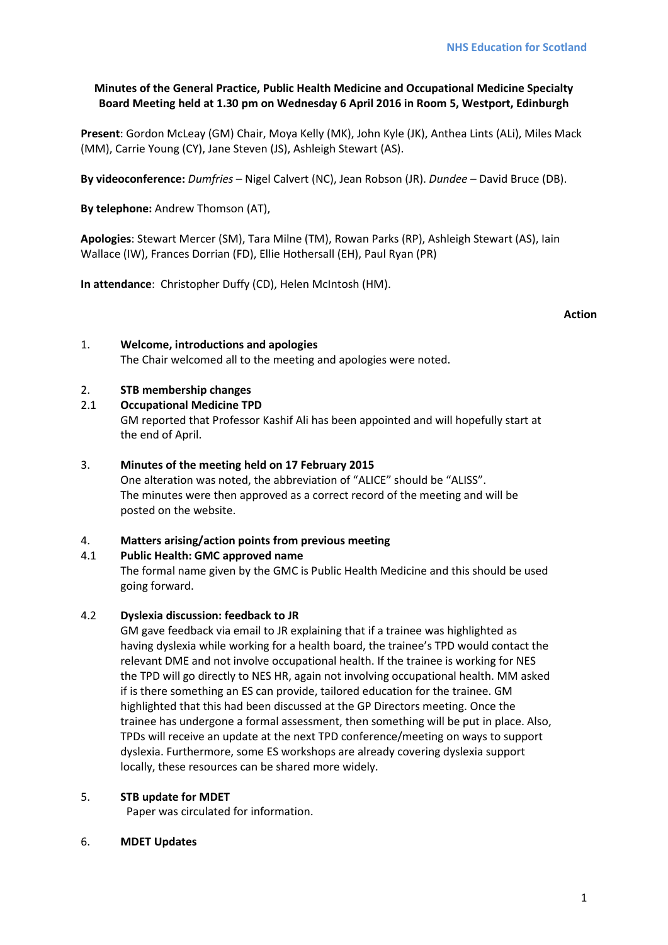# **Minutes of the General Practice, Public Health Medicine and Occupational Medicine Specialty Board Meeting held at 1.30 pm on Wednesday 6 April 2016 in Room 5, Westport, Edinburgh**

**Present**: Gordon McLeay (GM) Chair, Moya Kelly (MK), John Kyle (JK), Anthea Lints (ALi), Miles Mack (MM), Carrie Young (CY), Jane Steven (JS), Ashleigh Stewart (AS).

**By videoconference:** *Dumfries* – Nigel Calvert (NC), Jean Robson (JR). *Dundee –* David Bruce (DB).

**By telephone:** Andrew Thomson (AT),

**Apologies**: Stewart Mercer (SM), Tara Milne (TM), Rowan Parks (RP), Ashleigh Stewart (AS), Iain Wallace (IW), Frances Dorrian (FD), Ellie Hothersall (EH), Paul Ryan (PR)

**In attendance**: Christopher Duffy (CD), Helen McIntosh (HM).

**Action**

### 1. **Welcome, introductions and apologies**

The Chair welcomed all to the meeting and apologies were noted.

### 2. **STB membership changes**

### 2.1 **Occupational Medicine TPD**

GM reported that Professor Kashif Ali has been appointed and will hopefully start at the end of April.

### 3. **Minutes of the meeting held on 17 February 2015**

One alteration was noted, the abbreviation of "ALICE" should be "ALISS". The minutes were then approved as a correct record of the meeting and will be posted on the website.

#### 4. **Matters arising/action points from previous meeting**

# 4.1 **Public Health: GMC approved name**

The formal name given by the GMC is Public Health Medicine and this should be used going forward.

#### 4.2 **Dyslexia discussion: feedback to JR**

GM gave feedback via email to JR explaining that if a trainee was highlighted as having dyslexia while working for a health board, the trainee's TPD would contact the relevant DME and not involve occupational health. If the trainee is working for NES the TPD will go directly to NES HR, again not involving occupational health. MM asked if is there something an ES can provide, tailored education for the trainee. GM highlighted that this had been discussed at the GP Directors meeting. Once the trainee has undergone a formal assessment, then something will be put in place. Also, TPDs will receive an update at the next TPD conference/meeting on ways to support dyslexia. Furthermore, some ES workshops are already covering dyslexia support locally, these resources can be shared more widely.

#### 5. **STB update for MDET**

Paper was circulated for information.

#### 6. **MDET Updates**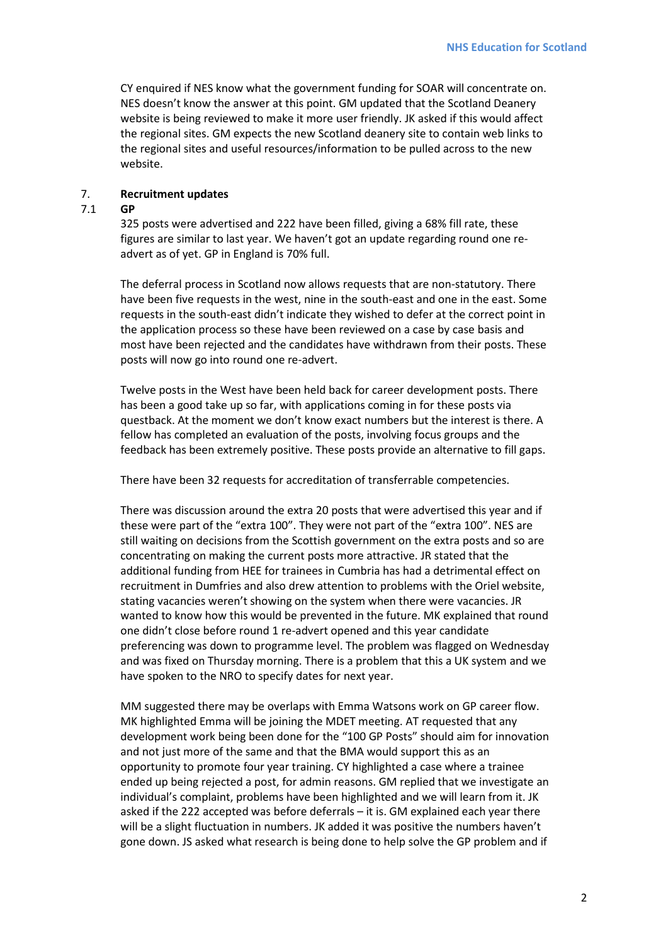CY enquired if NES know what the government funding for SOAR will concentrate on. NES doesn't know the answer at this point. GM updated that the Scotland Deanery website is being reviewed to make it more user friendly. JK asked if this would affect the regional sites. GM expects the new Scotland deanery site to contain web links to the regional sites and useful resources/information to be pulled across to the new website.

### 7. **Recruitment updates**

#### 7.1 **GP**

325 posts were advertised and 222 have been filled, giving a 68% fill rate, these figures are similar to last year. We haven't got an update regarding round one readvert as of yet. GP in England is 70% full.

The deferral process in Scotland now allows requests that are non-statutory. There have been five requests in the west, nine in the south-east and one in the east. Some requests in the south-east didn't indicate they wished to defer at the correct point in the application process so these have been reviewed on a case by case basis and most have been rejected and the candidates have withdrawn from their posts. These posts will now go into round one re-advert.

Twelve posts in the West have been held back for career development posts. There has been a good take up so far, with applications coming in for these posts via questback. At the moment we don't know exact numbers but the interest is there. A fellow has completed an evaluation of the posts, involving focus groups and the feedback has been extremely positive. These posts provide an alternative to fill gaps.

There have been 32 requests for accreditation of transferrable competencies.

There was discussion around the extra 20 posts that were advertised this year and if these were part of the "extra 100". They were not part of the "extra 100". NES are still waiting on decisions from the Scottish government on the extra posts and so are concentrating on making the current posts more attractive. JR stated that the additional funding from HEE for trainees in Cumbria has had a detrimental effect on recruitment in Dumfries and also drew attention to problems with the Oriel website, stating vacancies weren't showing on the system when there were vacancies. JR wanted to know how this would be prevented in the future. MK explained that round one didn't close before round 1 re-advert opened and this year candidate preferencing was down to programme level. The problem was flagged on Wednesday and was fixed on Thursday morning. There is a problem that this a UK system and we have spoken to the NRO to specify dates for next year.

MM suggested there may be overlaps with Emma Watsons work on GP career flow. MK highlighted Emma will be joining the MDET meeting. AT requested that any development work being been done for the "100 GP Posts" should aim for innovation and not just more of the same and that the BMA would support this as an opportunity to promote four year training. CY highlighted a case where a trainee ended up being rejected a post, for admin reasons. GM replied that we investigate an individual's complaint, problems have been highlighted and we will learn from it. JK asked if the 222 accepted was before deferrals – it is. GM explained each year there will be a slight fluctuation in numbers. JK added it was positive the numbers haven't gone down. JS asked what research is being done to help solve the GP problem and if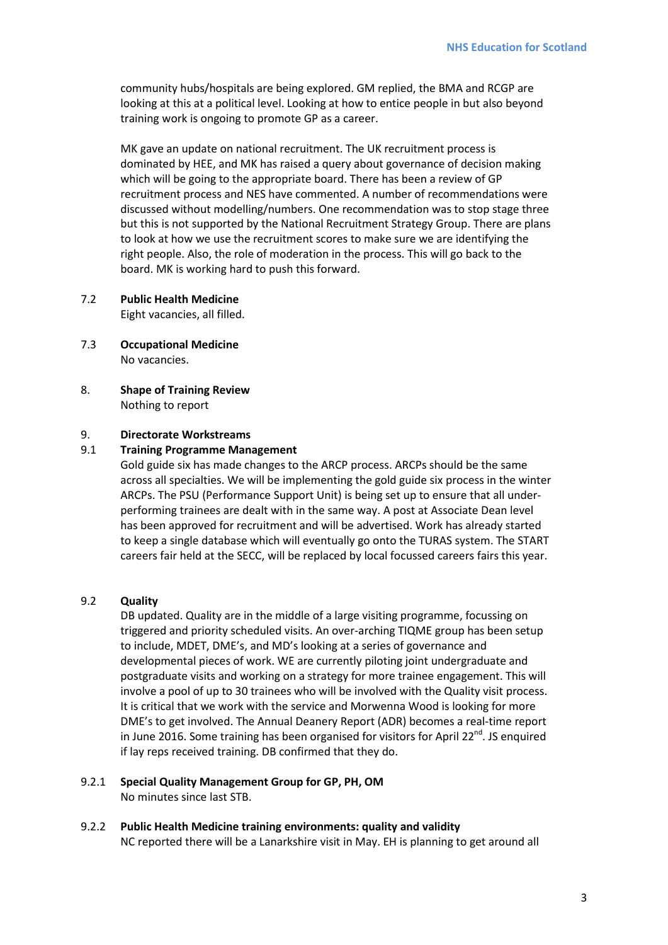community hubs/hospitals are being explored. GM replied, the BMA and RCGP are looking at this at a political level. Looking at how to entice people in but also beyond training work is ongoing to promote GP as a career.

MK gave an update on national recruitment. The UK recruitment process is dominated by HEE, and MK has raised a query about governance of decision making which will be going to the appropriate board. There has been a review of GP recruitment process and NES have commented. A number of recommendations were discussed without modelling/numbers. One recommendation was to stop stage three but this is not supported by the National Recruitment Strategy Group. There are plans to look at how we use the recruitment scores to make sure we are identifying the right people. Also, the role of moderation in the process. This will go back to the board. MK is working hard to push this forward.

7.2 **Public Health Medicine**

Eight vacancies, all filled.

- 7.3 **Occupational Medicine** No vacancies.
- 8. **Shape of Training Review** Nothing to report

#### 9. **Directorate Workstreams**

#### 9.1 **Training Programme Management**

Gold guide six has made changes to the ARCP process. ARCPs should be the same across all specialties. We will be implementing the gold guide six process in the winter ARCPs. The PSU (Performance Support Unit) is being set up to ensure that all underperforming trainees are dealt with in the same way. A post at Associate Dean level has been approved for recruitment and will be advertised. Work has already started to keep a single database which will eventually go onto the TURAS system. The START careers fair held at the SECC, will be replaced by local focussed careers fairs this year.

#### 9.2 **Quality**

DB updated. Quality are in the middle of a large visiting programme, focussing on triggered and priority scheduled visits. An over-arching TIQME group has been setup to include, MDET, DME's, and MD's looking at a series of governance and developmental pieces of work. WE are currently piloting joint undergraduate and postgraduate visits and working on a strategy for more trainee engagement. This will involve a pool of up to 30 trainees who will be involved with the Quality visit process. It is critical that we work with the service and Morwenna Wood is looking for more DME's to get involved. The Annual Deanery Report (ADR) becomes a real-time report in June 2016. Some training has been organised for visitors for April 22 $^{nd}$ . JS enquired if lay reps received training. DB confirmed that they do.

#### 9.2.1 **Special Quality Management Group for GP, PH, OM** No minutes since last STB.

9.2.2 **Public Health Medicine training environments: quality and validity** NC reported there will be a Lanarkshire visit in May. EH is planning to get around all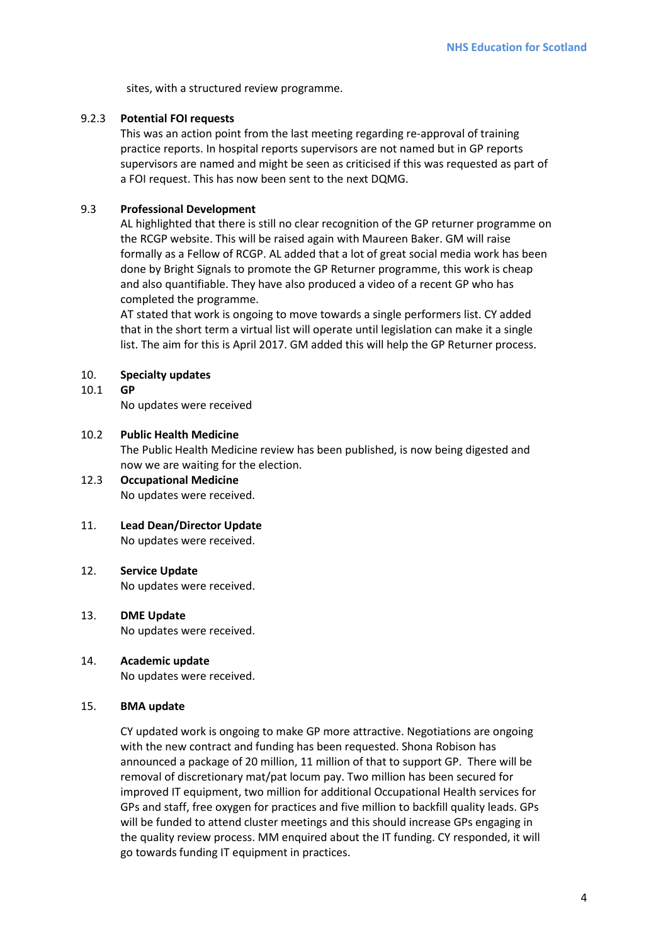sites, with a structured review programme.

#### 9.2.3 **Potential FOI requests**

This was an action point from the last meeting regarding re-approval of training practice reports. In hospital reports supervisors are not named but in GP reports supervisors are named and might be seen as criticised if this was requested as part of a FOI request. This has now been sent to the next DQMG.

### 9.3 **Professional Development**

AL highlighted that there is still no clear recognition of the GP returner programme on the RCGP website. This will be raised again with Maureen Baker. GM will raise formally as a Fellow of RCGP. AL added that a lot of great social media work has been done by Bright Signals to promote the GP Returner programme, this work is cheap and also quantifiable. They have also produced a video of a recent GP who has completed the programme.

AT stated that work is ongoing to move towards a single performers list. CY added that in the short term a virtual list will operate until legislation can make it a single list. The aim for this is April 2017. GM added this will help the GP Returner process.

#### 10. **Specialty updates**

#### 10.1 **GP**

No updates were received

#### 10.2 **Public Health Medicine**

The Public Health Medicine review has been published, is now being digested and now we are waiting for the election.

# 12.3 **Occupational Medicine** No updates were received.

#### 11. **Lead Dean/Director Update**

No updates were received.

#### 12. **Service Update**

No updates were received.

#### 13. **DME Update**

No updates were received.

#### 14. **Academic update**

No updates were received.

#### 15. **BMA update**

CY updated work is ongoing to make GP more attractive. Negotiations are ongoing with the new contract and funding has been requested. Shona Robison has announced a package of 20 million, 11 million of that to support GP. There will be removal of discretionary mat/pat locum pay. Two million has been secured for improved IT equipment, two million for additional Occupational Health services for GPs and staff, free oxygen for practices and five million to backfill quality leads. GPs will be funded to attend cluster meetings and this should increase GPs engaging in the quality review process. MM enquired about the IT funding. CY responded, it will go towards funding IT equipment in practices.